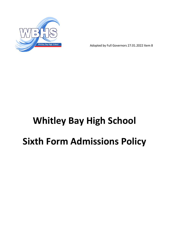

Adopted by Full Governors 27.01.2022 Item 8

# **Whitley Bay High School Sixth Form Admissions Policy**